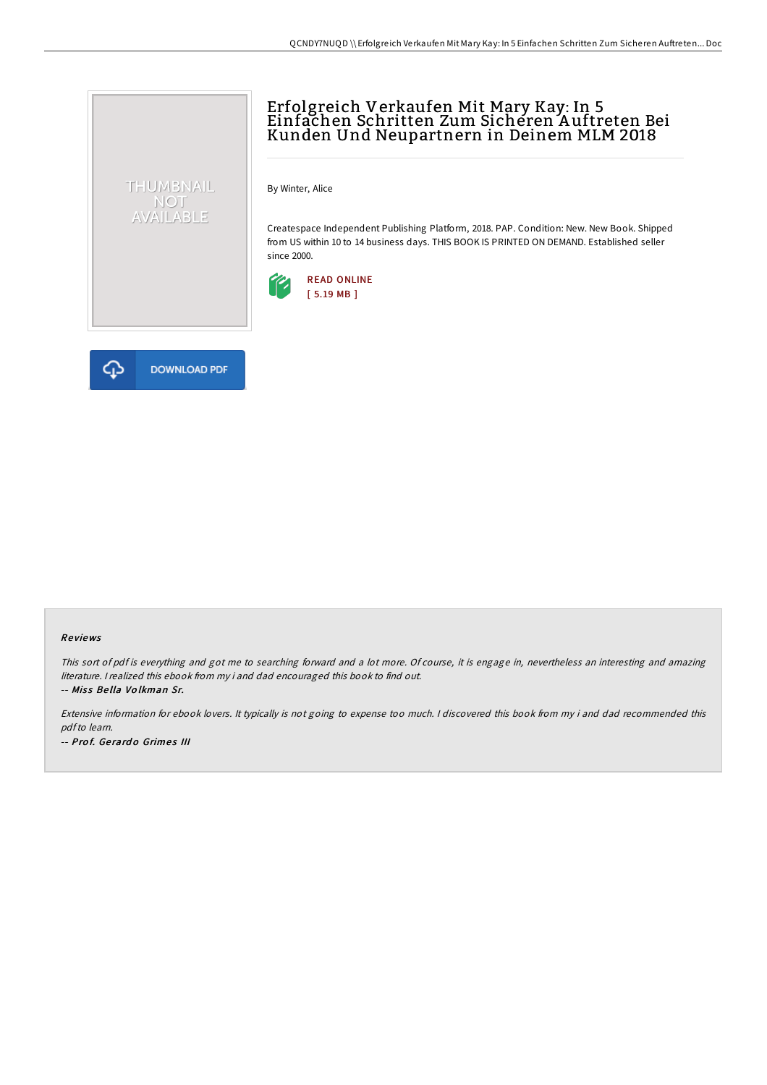## Erfolgreich Verkaufen Mit Mary Kay: In 5 Einfachen Schritten Zum Sicheren A uftreten Bei Kunden Und Neupartnern in Deinem MLM 2018

By Winter, Alice

Createspace Independent Publishing Platform, 2018. PAP. Condition: New. New Book. Shipped from US within 10 to 14 business days. THIS BOOK IS PRINTED ON DEMAND. Established seller since 2000.





THUMBNAIL NOT<br>AVAILABLE

## Re views

This sort of pdf is everything and got me to searching forward and <sup>a</sup> lot more. Of course, it is engage in, nevertheless an interesting and amazing literature. <sup>I</sup> realized this ebook from my i and dad encouraged this book to find out. -- Miss Bella Volkman Sr.

Extensive information for ebook lovers. It typically is not going to expense too much. <sup>I</sup> discovered this book from my i and dad recommended this pdfto learn. -- Prof. Gerardo Grimes III